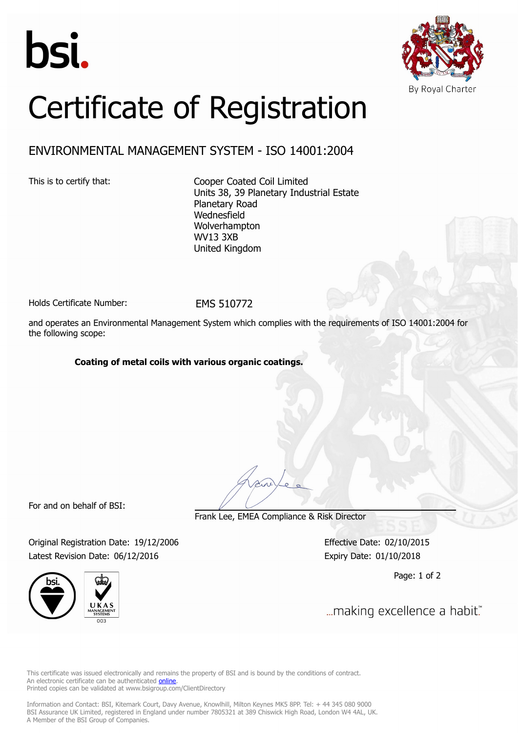



# Certificate of Registration

## ENVIRONMENTAL MANAGEMENT SYSTEM - ISO 14001:2004

This is to certify that: Cooper Coated Coil Limited Units 38, 39 Planetary Industrial Estate Planetary Road Wednesfield Wolverhampton WV13 3XB United Kingdom

Holds Certificate Number: FMS 510772

and operates an Environmental Management System which complies with the requirements of ISO 14001:2004 for the following scope:

#### **Coating of metal coils with various organic coatings.**

For and on behalf of BSI:

Frank Lee, EMEA Compliance & Risk Director

Original Registration Date: 19/12/2006 Effective Date: 02/10/2015 Latest Revision Date: 06/12/2016 Expiry Date: 01/10/2018



Page: 1 of 2

... making excellence a habit."

This certificate was issued electronically and remains the property of BSI and is bound by the conditions of contract. An electronic certificate can be authenticated **[online](https://pgplus.bsigroup.com/CertificateValidation/CertificateValidator.aspx?CertificateNumber=EMS 510772&ReIssueDate=06/12/2016&Template=uk)**. Printed copies can be validated at www.bsigroup.com/ClientDirectory

Information and Contact: BSI, Kitemark Court, Davy Avenue, Knowlhill, Milton Keynes MK5 8PP. Tel: + 44 345 080 9000 BSI Assurance UK Limited, registered in England under number 7805321 at 389 Chiswick High Road, London W4 4AL, UK. A Member of the BSI Group of Companies.